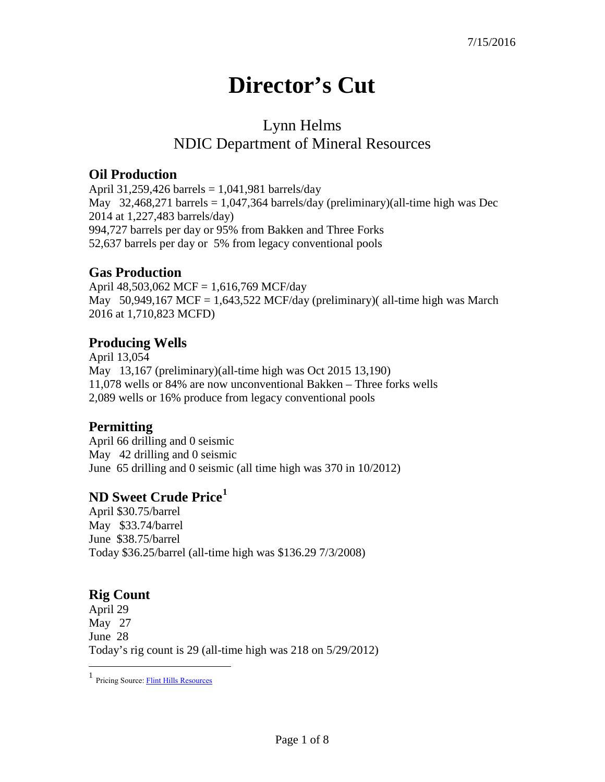# **Director's Cut**

## Lynn Helms NDIC Department of Mineral Resources

#### **Oil Production**

April 31,259,426 barrels = 1,041,981 barrels/day May 32,468,271 barrels = 1,047,364 barrels/day (preliminary)(all-time high was Dec 2014 at 1,227,483 barrels/day) 994,727 barrels per day or 95% from Bakken and Three Forks 52,637 barrels per day or 5% from legacy conventional pools

#### **Gas Production**

April 48,503,062 MCF = 1,616,769 MCF/day May  $50,949,167$  MCF = 1,643,522 MCF/day (preliminary)( all-time high was March 2016 at 1,710,823 MCFD)

#### **Producing Wells**

April 13,054 May 13,167 (preliminary)(all-time high was Oct 2015 13,190) 11,078 wells or 84% are now unconventional Bakken – Three forks wells 2,089 wells or 16% produce from legacy conventional pools

#### **Permitting**

April 66 drilling and 0 seismic May 42 drilling and 0 seismic June 65 drilling and 0 seismic (all time high was 370 in 10/2012)

### **ND Sweet Crude Price[1](#page-0-0)**

April \$30.75/barrel May \$33.74/barrel June \$38.75/barrel Today \$36.25/barrel (all-time high was \$136.29 7/3/2008)

### **Rig Count**

 $\overline{a}$ 

April 29 May 27 June 28 Today's rig count is 29 (all-time high was 218 on 5/29/2012)

<span id="page-0-0"></span><sup>&</sup>lt;sup>1</sup> Pricing Source: **Flint Hills Resources**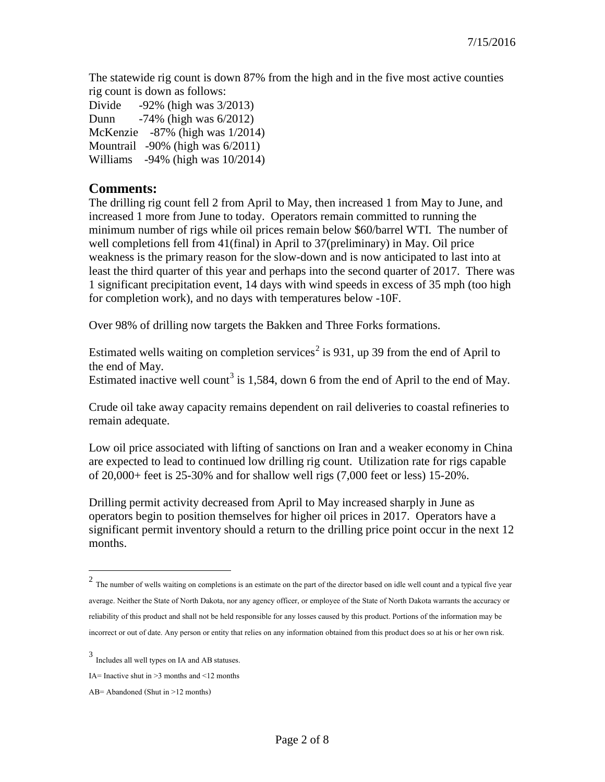The statewide rig count is down 87% from the high and in the five most active counties rig count is down as follows:

Divide -92% (high was 3/2013) Dunn -74% (high was 6/2012) McKenzie -87% (high was 1/2014) Mountrail -90% (high was 6/2011) Williams -94% (high was 10/2014)

#### **Comments:**

The drilling rig count fell 2 from April to May, then increased 1 from May to June, and increased 1 more from June to today. Operators remain committed to running the minimum number of rigs while oil prices remain below \$60/barrel WTI. The number of well completions fell from 41(final) in April to 37(preliminary) in May. Oil price weakness is the primary reason for the slow-down and is now anticipated to last into at least the third quarter of this year and perhaps into the second quarter of 2017. There was 1 significant precipitation event, 14 days with wind speeds in excess of 35 mph (too high for completion work), and no days with temperatures below -10F.

Over 98% of drilling now targets the Bakken and Three Forks formations.

Estimated wells waiting on completion services<sup>[2](#page-1-0)</sup> is 931, up 39 from the end of April to the end of May.

Estimated inactive well count<sup>[3](#page-1-1)</sup> is 1,584, down 6 from the end of April to the end of May.

Crude oil take away capacity remains dependent on rail deliveries to coastal refineries to remain adequate.

Low oil price associated with lifting of sanctions on Iran and a weaker economy in China are expected to lead to continued low drilling rig count. Utilization rate for rigs capable of 20,000+ feet is 25-30% and for shallow well rigs (7,000 feet or less) 15-20%.

Drilling permit activity decreased from April to May increased sharply in June as operators begin to position themselves for higher oil prices in 2017. Operators have a significant permit inventory should a return to the drilling price point occur in the next 12 months.

 $\overline{a}$ 

<span id="page-1-0"></span> $2$  The number of wells waiting on completions is an estimate on the part of the director based on idle well count and a typical five year average. Neither the State of North Dakota, nor any agency officer, or employee of the State of North Dakota warrants the accuracy or reliability of this product and shall not be held responsible for any losses caused by this product. Portions of the information may be incorrect or out of date. Any person or entity that relies on any information obtained from this product does so at his or her own risk.

<span id="page-1-1"></span><sup>3</sup> Includes all well types on IA and AB statuses.

IA= Inactive shut in  $\geq$ 3 months and  $\leq$ 12 months

AB= Abandoned (Shut in >12 months)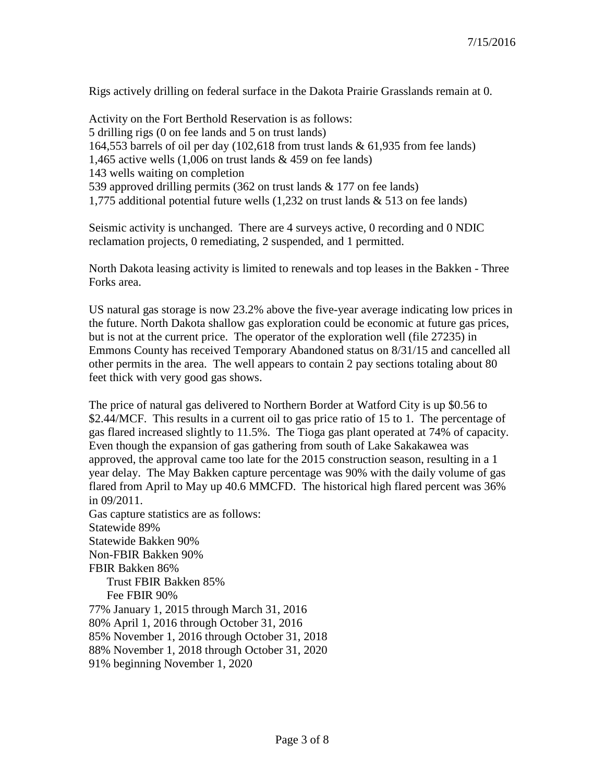Rigs actively drilling on federal surface in the Dakota Prairie Grasslands remain at 0.

Activity on the Fort Berthold Reservation is as follows: 5 drilling rigs (0 on fee lands and 5 on trust lands) 164,553 barrels of oil per day (102,618 from trust lands & 61,935 from fee lands) 1,465 active wells  $(1,006$  on trust lands  $\&$  459 on fee lands) 143 wells waiting on completion 539 approved drilling permits (362 on trust lands & 177 on fee lands) 1,775 additional potential future wells (1,232 on trust lands & 513 on fee lands)

Seismic activity is unchanged. There are 4 surveys active, 0 recording and 0 NDIC reclamation projects, 0 remediating, 2 suspended, and 1 permitted.

North Dakota leasing activity is limited to renewals and top leases in the Bakken - Three Forks area.

US natural gas storage is now 23.2% above the five-year average indicating low prices in the future. North Dakota shallow gas exploration could be economic at future gas prices, but is not at the current price. The operator of the exploration well (file 27235) in Emmons County has received Temporary Abandoned status on 8/31/15 and cancelled all other permits in the area. The well appears to contain 2 pay sections totaling about 80 feet thick with very good gas shows.

The price of natural gas delivered to Northern Border at Watford City is up \$0.56 to \$2.44/MCF. This results in a current oil to gas price ratio of 15 to 1. The percentage of gas flared increased slightly to 11.5%. The Tioga gas plant operated at 74% of capacity. Even though the expansion of gas gathering from south of Lake Sakakawea was approved, the approval came too late for the 2015 construction season, resulting in a 1 year delay. The May Bakken capture percentage was 90% with the daily volume of gas flared from April to May up 40.6 MMCFD. The historical high flared percent was 36% in 09/2011.

Gas capture statistics are as follows: Statewide 89% Statewide Bakken 90% Non-FBIR Bakken 90% FBIR Bakken 86% Trust FBIR Bakken 85% Fee FBIR 90% 77% January 1, 2015 through March 31, 2016 80% April 1, 2016 through October 31, 2016 85% November 1, 2016 through October 31, 2018 88% November 1, 2018 through October 31, 2020 91% beginning November 1, 2020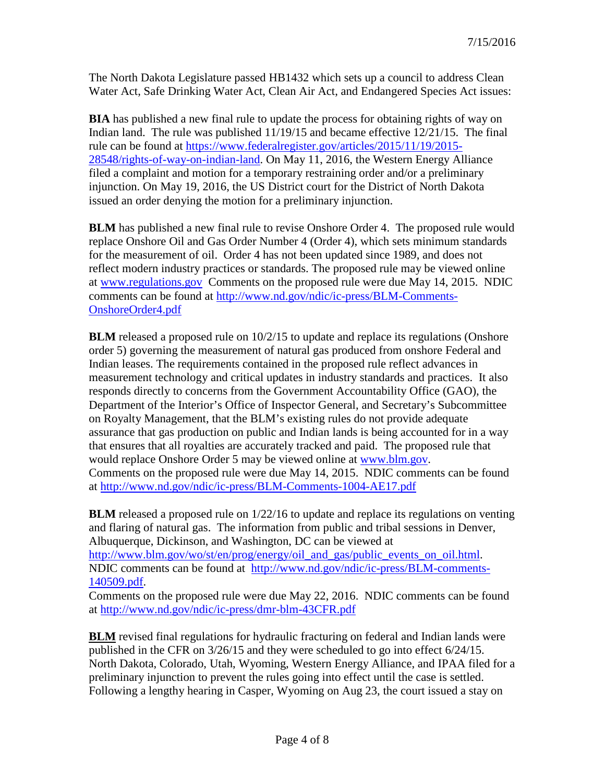The North Dakota Legislature passed HB1432 which sets up a council to address Clean Water Act, Safe Drinking Water Act, Clean Air Act, and Endangered Species Act issues:

**BIA** has published a new final rule to update the process for obtaining rights of way on Indian land. The rule was published 11/19/15 and became effective 12/21/15. The final rule can be found at [https://www.federalregister.gov/articles/2015/11/19/2015-](https://www.federalregister.gov/articles/2015/11/19/2015-28548/rights-of-way-on-indian-land) [28548/rights-of-way-on-indian-land.](https://www.federalregister.gov/articles/2015/11/19/2015-28548/rights-of-way-on-indian-land) On May 11, 2016, the Western Energy Alliance filed a complaint and motion for a temporary restraining order and/or a preliminary injunction. On May 19, 2016, the US District court for the District of North Dakota issued an order denying the motion for a preliminary injunction.

**BLM** has published a new final rule to revise Onshore Order 4. The proposed rule would replace Onshore Oil and Gas Order Number 4 (Order 4), which sets minimum standards for the measurement of oil. Order 4 has not been updated since 1989, and does not reflect modern industry practices or standards. The proposed rule may be viewed online at [www.regulations.gov](http://www.regulations.gov/) Comments on the proposed rule were due May 14, 2015. NDIC comments can be found at [http://www.nd.gov/ndic/ic-press/BLM-Comments-](http://www.nd.gov/ndic/ic-press/BLM-Comments-OnshoreOrder4.pdf)[OnshoreOrder4.pdf](http://www.nd.gov/ndic/ic-press/BLM-Comments-OnshoreOrder4.pdf)

**BLM** released a proposed rule on  $10/2/15$  to update and replace its regulations (Onshore order 5) governing the measurement of natural gas produced from onshore Federal and Indian leases. The requirements contained in the proposed rule reflect advances in measurement technology and critical updates in industry standards and practices. It also responds directly to concerns from the Government Accountability Office (GAO), the Department of the Interior's Office of Inspector General, and Secretary's Subcommittee on Royalty Management, that the BLM's existing rules do not provide adequate assurance that gas production on public and Indian lands is being accounted for in a way that ensures that all royalties are accurately tracked and paid. The proposed rule that would replace Onshore Order 5 may be viewed online at [www.blm.gov.](http://www.blm.gov/) Comments on the proposed rule were due May 14, 2015. NDIC comments can be found at<http://www.nd.gov/ndic/ic-press/BLM-Comments-1004-AE17.pdf>

**BLM** released a proposed rule on  $1/22/16$  to update and replace its regulations on venting and flaring of natural gas. The information from public and tribal sessions in Denver, Albuquerque, Dickinson, and Washington, DC can be viewed at [http://www.blm.gov/wo/st/en/prog/energy/oil\\_and\\_gas/public\\_events\\_on\\_oil.html.](http://www.blm.gov/wo/st/en/prog/energy/oil_and_gas/public_events_on_oil.html) NDIC comments can be found at [http://www.nd.gov/ndic/ic-press/BLM-comments-](http://www.nd.gov/ndic/ic-press/BLM-comments-140509.pdf)[140509.pdf.](http://www.nd.gov/ndic/ic-press/BLM-comments-140509.pdf)

Comments on the proposed rule were due May 22, 2016. NDIC comments can be found at<http://www.nd.gov/ndic/ic-press/dmr-blm-43CFR.pdf>

**BLM** revised final regulations for hydraulic fracturing on federal and Indian lands were published in the CFR on 3/26/15 and they were scheduled to go into effect 6/24/15. North Dakota, Colorado, Utah, Wyoming, Western Energy Alliance, and IPAA filed for a preliminary injunction to prevent the rules going into effect until the case is settled. Following a lengthy hearing in Casper, Wyoming on Aug 23, the court issued a stay on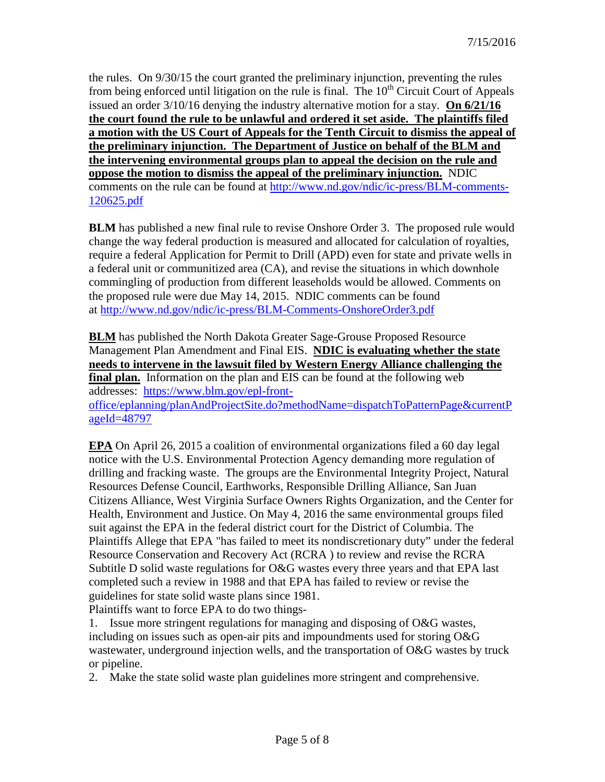the rules. On 9/30/15 the court granted the preliminary injunction, preventing the rules from being enforced until litigation on the rule is final. The  $10<sup>th</sup>$  Circuit Court of Appeals issued an order 3/10/16 denying the industry alternative motion for a stay. **On 6/21/16 the court found the rule to be unlawful and ordered it set aside. The plaintiffs filed a motion with the US Court of Appeals for the Tenth Circuit to dismiss the appeal of the preliminary injunction. The Department of Justice on behalf of the BLM and the intervening environmental groups plan to appeal the decision on the rule and oppose the motion to dismiss the appeal of the preliminary injunction.** NDIC comments on the rule can be found at [http://www.nd.gov/ndic/ic-press/BLM-comments-](http://www.nd.gov/ndic/ic-press/BLM-comments-120625.pdf)[120625.pdf](http://www.nd.gov/ndic/ic-press/BLM-comments-120625.pdf)

**BLM** has published a new final rule to revise Onshore Order 3. The proposed rule would change the way federal production is measured and allocated for calculation of royalties, require a federal Application for Permit to Drill (APD) even for state and private wells in a federal unit or communitized area (CA), and revise the situations in which downhole commingling of production from different leaseholds would be allowed. Comments on the proposed rule were due May 14, 2015. NDIC comments can be found at <http://www.nd.gov/ndic/ic-press/BLM-Comments-OnshoreOrder3.pdf>

**BLM** has published the North Dakota Greater Sage-Grouse Proposed Resource Management Plan Amendment and Final EIS. **NDIC is evaluating whether the state needs to intervene in the lawsuit filed by Western Energy Alliance challenging the final plan.** Information on the plan and EIS can be found at the following web addresses: [https://www.blm.gov/epl-front-](https://www.blm.gov/epl-front-office/eplanning/planAndProjectSite.do?methodName=dispatchToPatternPage¤tPageId=48797)

[office/eplanning/planAndProjectSite.do?methodName=dispatchToPatternPage&currentP](https://www.blm.gov/epl-front-office/eplanning/planAndProjectSite.do?methodName=dispatchToPatternPage¤tPageId=48797) [ageId=48797](https://www.blm.gov/epl-front-office/eplanning/planAndProjectSite.do?methodName=dispatchToPatternPage¤tPageId=48797)

**EPA** On April 26, 2015 a coalition of environmental organizations filed a 60 day legal notice with the U.S. Environmental Protection Agency demanding more regulation of drilling and fracking waste. The groups are the Environmental Integrity Project, Natural Resources Defense Council, Earthworks, Responsible Drilling Alliance, San Juan Citizens Alliance, West Virginia Surface Owners Rights Organization, and the Center for Health, Environment and Justice. On May 4, 2016 the same environmental groups filed suit against the EPA in the federal district court for the District of Columbia. The Plaintiffs Allege that EPA "has failed to meet its nondiscretionary duty" under the federal Resource Conservation and Recovery Act (RCRA ) to review and revise the RCRA Subtitle D solid waste regulations for O&G wastes every three years and that EPA last completed such a review in 1988 and that EPA has failed to review or revise the guidelines for state solid waste plans since 1981.

Plaintiffs want to force EPA to do two things-

1. Issue more stringent regulations for managing and disposing of O&G wastes, including on issues such as open-air pits and impoundments used for storing O&G wastewater, underground injection wells, and the transportation of O&G wastes by truck or pipeline.

2. Make the state solid waste plan guidelines more stringent and comprehensive.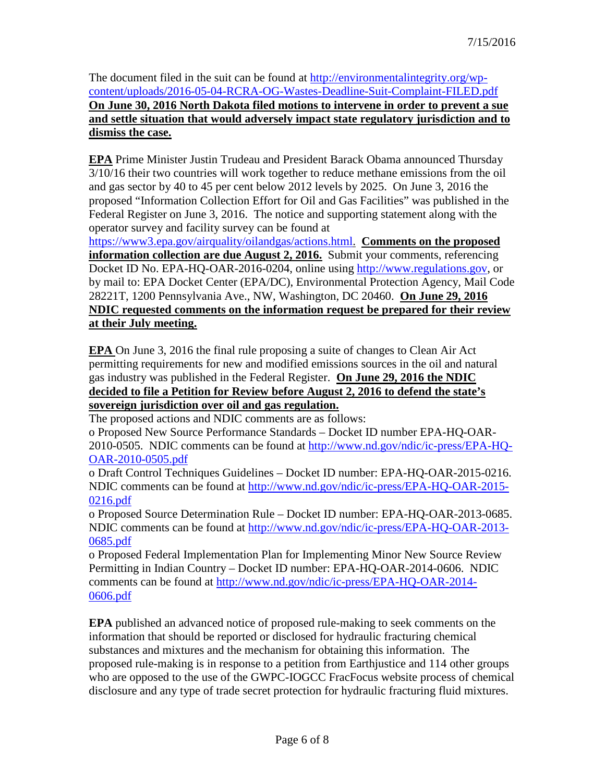The document filed in the suit can be found at [http://environmentalintegrity.org/wp](http://environmentalintegrity.org/wp-content/uploads/2016-05-04-RCRA-OG-Wastes-Deadline-Suit-Complaint-FILED.pdf)[content/uploads/2016-05-04-RCRA-OG-Wastes-Deadline-Suit-Complaint-FILED.pdf](http://environmentalintegrity.org/wp-content/uploads/2016-05-04-RCRA-OG-Wastes-Deadline-Suit-Complaint-FILED.pdf) **On June 30, 2016 North Dakota filed motions to intervene in order to prevent a sue and settle situation that would adversely impact state regulatory jurisdiction and to dismiss the case.**

**EPA** Prime Minister Justin Trudeau and President Barack Obama announced Thursday 3/10/16 their two countries will work together to reduce methane emissions from the oil and gas sector by 40 to 45 per cent below 2012 levels by 2025. On June 3, 2016 the proposed "Information Collection Effort for Oil and Gas Facilities" was published in the Federal Register on June 3, 2016. The notice and supporting statement along with the operator survey and facility survey can be found at

[https://www3.epa.gov/airquality/oilandgas/actions.html.](https://www3.epa.gov/airquality/oilandgas/actions.html) **Comments on the proposed information collection are due August 2, 2016.** Submit your comments, referencing Docket ID No. EPA-HQ-OAR-2016-0204, online using [http://www.regulations.gov,](http://www.regulations.gov/) or by mail to: EPA Docket Center (EPA/DC), Environmental Protection Agency, Mail Code 28221T, 1200 Pennsylvania Ave., NW, Washington, DC 20460. **On June 29, 2016 NDIC requested comments on the information request be prepared for their review at their July meeting.**

**EPA** On June 3, 2016 the final rule proposing a suite of changes to Clean Air Act permitting requirements for new and modified emissions sources in the oil and natural gas industry was published in the Federal Register. **On June 29, 2016 the NDIC decided to file a Petition for Review before August 2, 2016 to defend the state's sovereign jurisdiction over oil and gas regulation.** 

The proposed actions and NDIC comments are as follows:

o Proposed New Source Performance Standards – Docket ID number EPA-HQ-OAR-2010-0505. NDIC comments can be found at [http://www.nd.gov/ndic/ic-press/EPA-HQ-](http://www.nd.gov/ndic/ic-press/EPA-HQ-OAR-2010-0505.pdf)[OAR-2010-0505.pdf](http://www.nd.gov/ndic/ic-press/EPA-HQ-OAR-2010-0505.pdf)

o Draft Control Techniques Guidelines – Docket ID number: EPA-HQ-OAR-2015-0216. NDIC comments can be found at [http://www.nd.gov/ndic/ic-press/EPA-HQ-OAR-2015-](http://www.nd.gov/ndic/ic-press/EPA-HQ-OAR-2015-0216.pdf) [0216.pdf](http://www.nd.gov/ndic/ic-press/EPA-HQ-OAR-2015-0216.pdf)

o Proposed Source Determination Rule – Docket ID number: EPA-HQ-OAR-2013-0685. NDIC comments can be found at [http://www.nd.gov/ndic/ic-press/EPA-HQ-OAR-2013-](http://www.nd.gov/ndic/ic-press/EPA-HQ-OAR-2013-0685.pdf) [0685.pdf](http://www.nd.gov/ndic/ic-press/EPA-HQ-OAR-2013-0685.pdf)

o Proposed Federal Implementation Plan for Implementing Minor New Source Review Permitting in Indian Country – Docket ID number: EPA-HQ-OAR-2014-0606. NDIC comments can be found at [http://www.nd.gov/ndic/ic-press/EPA-HQ-OAR-2014-](http://www.nd.gov/ndic/ic-press/EPA-HQ-OAR-2014-0606.pdf) [0606.pdf](http://www.nd.gov/ndic/ic-press/EPA-HQ-OAR-2014-0606.pdf)

**EPA** published an advanced notice of proposed rule-making to seek comments on the information that should be reported or disclosed for hydraulic fracturing chemical substances and mixtures and the mechanism for obtaining this information. The proposed rule-making is in response to a petition from Earthjustice and 114 other groups who are opposed to the use of the GWPC-IOGCC FracFocus website process of chemical disclosure and any type of trade secret protection for hydraulic fracturing fluid mixtures.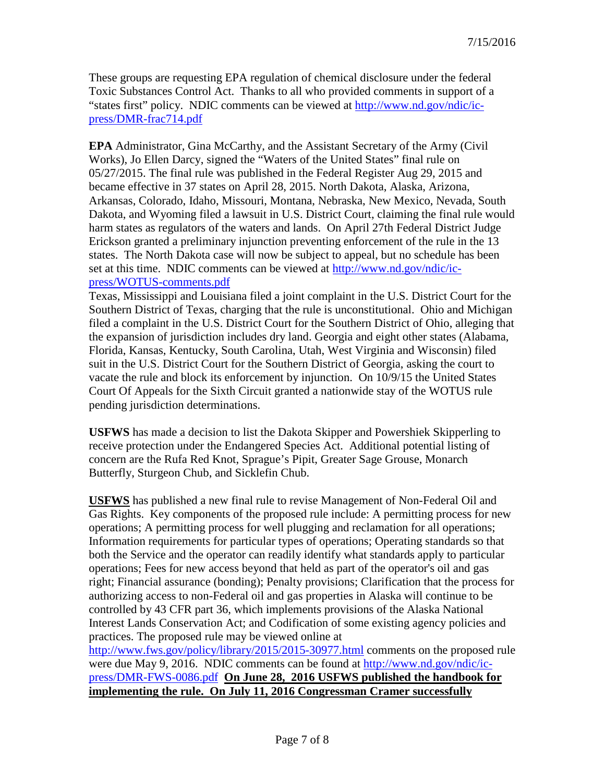These groups are requesting EPA regulation of chemical disclosure under the federal Toxic Substances Control Act. Thanks to all who provided comments in support of a "states first" policy. NDIC comments can be viewed at [http://www.nd.gov/ndic/ic](http://www.nd.gov/ndic/ic-press/DMR-frac714.pdf)[press/DMR-frac714.pdf](http://www.nd.gov/ndic/ic-press/DMR-frac714.pdf)

**EPA** Administrator, Gina McCarthy, and the Assistant Secretary of the Army (Civil Works), Jo Ellen Darcy, signed the "Waters of the United States" final rule on 05/27/2015. The final rule was published in the Federal Register Aug 29, 2015 and became effective in 37 states on April 28, 2015. North Dakota, Alaska, Arizona, Arkansas, Colorado, Idaho, Missouri, Montana, Nebraska, New Mexico, Nevada, South Dakota, and Wyoming filed a lawsuit in U.S. District Court, claiming the final rule would harm states as regulators of the waters and lands. On April 27th Federal District Judge Erickson granted a preliminary injunction preventing enforcement of the rule in the 13 states. The North Dakota case will now be subject to appeal, but no schedule has been set at this time. NDIC comments can be viewed at [http://www.nd.gov/ndic/ic](http://www.nd.gov/ndic/ic-press/WOTUS-comments.pdf)[press/WOTUS-comments.pdf](http://www.nd.gov/ndic/ic-press/WOTUS-comments.pdf)

Texas, Mississippi and Louisiana filed a joint complaint in the U.S. District Court for the Southern District of Texas, charging that the rule is unconstitutional. Ohio and Michigan filed a complaint in the U.S. District Court for the Southern District of Ohio, alleging that the expansion of jurisdiction includes dry land. Georgia and eight other states (Alabama, Florida, Kansas, Kentucky, South Carolina, Utah, West Virginia and Wisconsin) filed suit in the U.S. District Court for the Southern District of Georgia, asking the court to vacate the rule and block its enforcement by injunction. On 10/9/15 the United States Court Of Appeals for the Sixth Circuit granted a nationwide stay of the WOTUS rule pending jurisdiction determinations.

**USFWS** has made a decision to list the Dakota Skipper and Powershiek Skipperling to receive protection under the Endangered Species Act. Additional potential listing of concern are the Rufa Red Knot, Sprague's Pipit, Greater Sage Grouse, Monarch Butterfly, Sturgeon Chub, and Sicklefin Chub.

**USFWS** has published a new final rule to revise Management of Non-Federal Oil and Gas Rights. Key components of the proposed rule include: A permitting process for new operations; A permitting process for well plugging and reclamation for all operations; Information requirements for particular types of operations; Operating standards so that both the Service and the operator can readily identify what standards apply to particular operations; Fees for new access beyond that held as part of the operator's oil and gas right; Financial assurance (bonding); Penalty provisions; Clarification that the process for authorizing access to non-Federal oil and gas properties in Alaska will continue to be controlled by 43 CFR part 36, which implements provisions of the Alaska National Interest Lands Conservation Act; and Codification of some existing agency policies and practices. The proposed rule may be viewed online at

<http://www.fws.gov/policy/library/2015/2015-30977.html> comments on the proposed rule were due May 9, 2016. NDIC comments can be found at [http://www.nd.gov/ndic/ic](http://www.nd.gov/ndic/ic-press/DMR-FWS-0086.pdf)[press/DMR-FWS-0086.pdf](http://www.nd.gov/ndic/ic-press/DMR-FWS-0086.pdf) **On June 28, 2016 USFWS published the handbook for implementing the rule. On July 11, 2016 Congressman Cramer successfully**